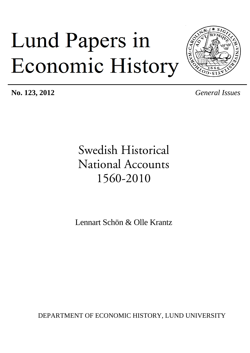# Lund Papers in Economic History



**No. 123, 2012** *General Issues*

## Swedish Historical National Accounts 1560-2010

Lennart Schön & Olle Krantz

DEPARTMENT OF ECONOMIC HISTORY, LUND UNIVERSITY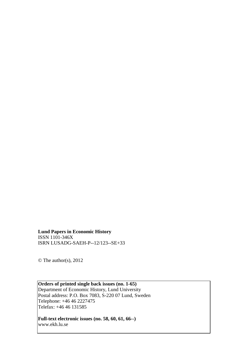**Lund Papers in Economic History** ISSN 1101-346X ISRN LUSADG-SAEH-P--12/123--SE+33

© The author(s), 2012

**Orders of printed single back issues (no. 1-65)** Department of Economic History, Lund University Postal address: P.O. Box 7083, S-220 07 Lund, Sweden Telephone: +46 46 2227475 Telefax: +46 46 131585

**Full-text electronic issues (no. 58, 60, 61, 66--)** www.ekh.lu.se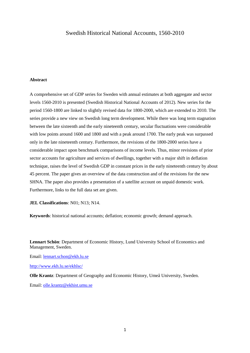#### Swedish Historical National Accounts, 1560-2010

#### **Abstract**

A comprehensive set of GDP series for Sweden with annual estimates at both aggregate and sector levels 1560-2010 is presented (Swedish Historical National Accounts of 2012). New series for the period 1560-1800 are linked to slightly revised data for 1800-2000, which are extended to 2010. The series provide a new view on Swedish long term development. While there was long term stagnation between the late sixteenth and the early nineteenth century, secular fluctuations were considerable with low points around 1600 and 1800 and with a peak around 1700. The early peak was surpassed only in the late nineteenth century. Furthermore, the revisions of the 1800-2000 series have a considerable impact upon benchmark comparisons of income levels. Thus, minor revisions of prior sector accounts for agriculture and services of dwellings, together with a major shift in deflation technique, raises the level of Swedish GDP in constant prices in the early nineteenth century by about 45 percent. The paper gives an overview of the data construction and of the revisions for the new SHNA. The paper also provides a presentation of a satellite account on unpaid domestic work. Furthermore, links to the full data set are given.

**JEL Classifications**: N01; N13; N14.

**Keywords**: historical national accounts; deflation; economic growth; demand approach.

**Lennart Schön**: Department of Economic History, Lund University School of Economics and Management, Sweden.

Email: [lennart.schon@ekh.lu.se](mailto:lennart.schon@ekh.lu.se)

<http://www.ekh.lu.se/ekhlsc/>

**Olle Krantz**: Department of Geography and Economic History, Umeå University, Sweden.

Email: [olle.krantz@ekhist.umu.se](mailto:olle.krantz@ekhist.umu.se)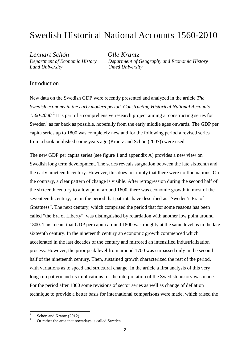## Swedish Historical National Accounts 1560-2010

*Lennart Schön Olle Krantz Lund University Umeå University*

*Department of Economic History Department of Geography and Economic History*

#### Introduction

New data on the Swedish GDP were recently presented and analyzed in the article *The Swedish economy in the early modern period. Constructing Historical National Accounts 1560-2000.* [1](#page-3-0) It is part of a comprehensive research project aiming at constructing series for Sweden<sup>[2](#page-3-1)</sup> as far back as possible, hopefully from the early middle ages onwards. The GDP per capita series up to 1800 was completely new and for the following period a revised series from a book published some years ago (Krantz and Schön (2007)) were used.

The new GDP per capita series (see figure 1 and appendix A) provides a new view on Swedish long term development. The series reveals stagnation between the late sixteenth and the early nineteenth century. However, this does not imply that there were no fluctuations. On the contrary, a clear pattern of change is visible. After retrogression during the second half of the sixteenth century to a low point around 1600, there was economic growth in most of the seventeenth century, i.e. in the period that patriots have described as "Sweden's Era of Greatness". The next century, which comprised the period that for some reasons has been called "the Era of Liberty", was distinguished by retardation with another low point around 1800. This meant that GDP per capita around 1800 was roughly at the same level as in the late sixteenth century. In the nineteenth century an economic growth commenced which accelerated in the last decades of the century and mirrored an intensified industrialization process. However, the prior peak level from around 1700 was surpassed only in the second half of the nineteenth century. Then, sustained growth characterized the rest of the period, with variations as to speed and structural change. In the article a first analysis of this very long-run pattern and its implications for the interpretation of the Swedish history was made. For the period after 1800 some revisions of sector series as well as change of deflation technique to provide a better basis for international comparisons were made, which raised the

<span id="page-3-1"></span>

<span id="page-3-0"></span>Schön and Krantz (2012).<br>Or rather the area that nowadays is called Sweden.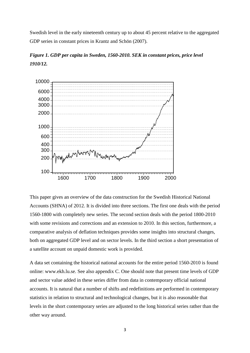Swedish level in the early nineteenth century up to about 45 percent relative to the aggregated GDP series in constant prices in Krantz and Schön (2007).



*Figure 1. GDP per capita in Sweden, 1560-2010. SEK in constant prices, price level 1910/12.*

This paper gives an overview of the data construction for the Swedish Historical National Accounts (SHNA) of 2012. It is divided into three sections. The first one deals with the period 1560-1800 with completely new series. The second section deals with the period 1800-2010 with some revisions and corrections and an extension to 2010. In this section, furthermore, a comparative analysis of deflation techniques provides some insights into structural changes, both on aggregated GDP level and on sector levels. In the third section a short presentation of a satellite account on unpaid domestic work is provided.

A data set containing the historical national accounts for the entire period 1560-2010 is found online: www.ekh.lu.se. See also appendix C. One should note that present time levels of GDP and sector value added in these series differ from data in contemporary official national accounts. It is natural that a number of shifts and redefinitions are performed in contemporary statistics in relation to structural and technological changes, but it is also reasonable that levels in the short contemporary series are adjusted to the long historical series rather than the other way around.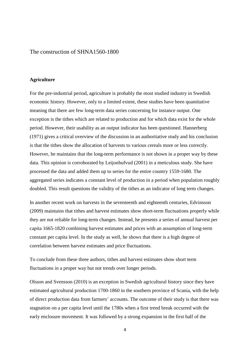#### The construction of SHNA1560-1800

#### **Agriculture**

For the pre-industrial period, agriculture is probably the most studied industry in Swedish economic history. However, only to a limited extent, these studies have been quantitative meaning that there are few long-term data series concerning for instance output. One exception is the tithes which are related to production and for which data exist for the whole period. However, their usability as an output indicator has been questioned. Hannerberg (1971) gives a critical overview of the discussion in an authoritative study and his conclusion is that the tithes show the allocation of harvests to various cereals more or less correctly. However, he maintains that the long-term performance is not shown in a proper way by these data. This opinion is corroborated by Leijonhufvud (2001) in a meticulous study. She have processed the data and added them up to series for the entire country 1559-1680. The aggregated series indicates a constant level of production in a period when population roughly doubled. This result questions the validity of the tithes as an indicator of long term changes.

In another recent work on harvests in the seventeenth and eighteenth centuries, Edvinsson (2009) maintains that tithes and harvest estimates show short-term fluctuations properly while they are not reliable for long-term changes. Instead, he presents a series of annual harvest per capita 1665-1820 combining harvest estimates and prices with an assumption of long-term constant per capita level. In the study as well, he shows that there is a high degree of correlation between harvest estimates and price fluctuations.

To conclude from these three authors, tithes and harvest estimates show short term fluctuations in a proper way but not trends over longer periods.

Olsson and Svensson (2010) is an exception in Swedish agricultural history since they have estimated agricultural production 1700-1860 in the southern province of Scania, with the help of direct production data from farmers' accounts. The outcome of their study is that there was stagnation on a per capita level until the 1780s when a first trend break occurred with the early enclosure movement. It was followed by a strong expansion in the first half of the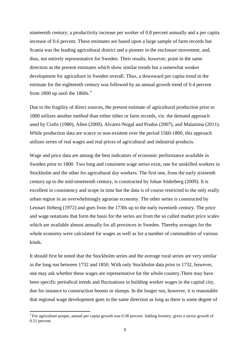nineteenth century; a productivity increase per worker of 0.8 percent annually and a per capita increase of 0.6 percent. These estimates are based upon a large sample of farm records but Scania was the leading agricultural district and a pioneer in the enclosure movement, and, thus, not entirely representative for Sweden. Their results, however, point in the same direction as the present estimates which show similar trends but a somewhat weaker development for agriculture in Sweden overall. Thus, a downward per capita trend in the estimate for the eighteenth century was followed by an annual growth trend of 0.4 percent from 1800 up until the  $1860s.<sup>3</sup>$  $1860s.<sup>3</sup>$  $1860s.<sup>3</sup>$ 

Due to the fragility of direct sources, the present estimate of agricultural production prior to 1800 utilizes another method than either tithes or farm records, viz. the demand approach used by Crafts (1980), Allen (2000), Alvarez-Nogal and Prados (2007), and Malanima (2011). While production data are scarce or non-existent over the period 1560-1800, this approach utilizes series of real wages and real prices of agricultural and industrial products.

Wage and price data are among the best indicators of economic performance available in Sweden prior to 1800. Two long and consistent wage series exist, one for unskilled workers in Stockholm and the other for agricultural day workers. The first one, from the early sixteenth century up to the mid-nineteenth century, is constructed by Johan Söderberg (2009). It is excellent in consistency and scope in time but the data is of course restricted to the only really urban region in an overwhelmingly agrarian economy. The other series is constructed by Lennart Jörberg (1972) and goes from the 1730s up to the early twentieth century. The price and wage notations that form the basis for the series are from the so called market price scales which are available almost annually for all provinces in Sweden. Thereby averages for the whole economy were calculated for wages as well as for a number of commodities of various kinds.

It should first be noted that the Stockholm series and the average rural series are very similar in the long run between 1732 and 1850. With only Stockholm data prior to 1732, however, one may ask whether these wages are representative for the whole country.There may have been specific periodical trends and fluctuations in building worker wages in the capital city, due for instance to construction booms or slumps. In the longer run, however, it is reasonable that regional wage development goes in the same direction as long as there is some degree of

<span id="page-6-0"></span><sup>&</sup>lt;sup>3</sup> For agriculture proper, annual per capita growth was 0.38 percent. Adding forestry, gives a sector growth of 0.51 percent.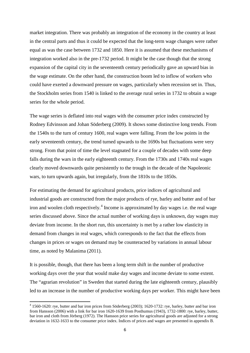market integration. There was probably an integration of the economy in the country at least in the central parts and thus it could be expected that the long-term wage changes were rather equal as was the case between 1732 and 1850. Here it is assumed that these mechanisms of integration worked also in the pre-1732 period. It might be the case though that the strong expansion of the capital city in the seventeenth century periodically gave an upward bias in the wage estimate. On the other hand, the construction boom led to inflow of workers who could have exerted a downward pressure on wages, particularly when recession set in. Thus, the Stockholm series from 1540 is linked to the average rural series in 1732 to obtain a wage series for the whole period.

The wage series is deflated into real wages with the consumer price index constructed by Rodney Edvinsson and Johan Söderberg (2009). It shows some distinctive long trends. From the 1540s to the turn of century 1600, real wages were falling. From the low points in the early seventeenth century, the trend turned upwards to the 1690s but fluctuations were very strong. From that point of time the level stagnated for a couple of decades with some deep falls during the wars in the early eighteenth century. From the 1730s and 1740s real wages clearly moved downwards quite persistently to the trough in the decade of the Napoleonic wars, to turn upwards again, but irregularly, from the 1810s to the 1850s.

For estimating the demand for agricultural products, price indices of agricultural and industrial goods are constructed from the major products of rye, barley and butter and of bar iron and woolen cloth respectively.<sup>[4](#page-7-0)</sup> Income is approximated by day wages i.e. the real wage series discussed above. Since the actual number of working days is unknown, day wages may deviate from income. In the short run, this uncertainty is met by a rather low elasticity in demand from changes in real wages, which corresponds to the fact that the effects from changes in prices or wages on demand may be counteracted by variations in annual labour time, as noted by Malanima (2011).

It is possible, though, that there has been a long term shift in the number of productive working days over the year that would make day wages and income deviate to some extent. The "agrarian revolution" in Sweden that started during the late eighteenth century, plausibly led to an increase in the number of productive working days per worker. This might have been

<span id="page-7-0"></span><sup>4</sup> 1560-1620: rye, butter and bar iron prices from Söderberg (2003); 1620-1732: rye, barley, butter and bar iron from Hansson (2006) with a link for bar iron 1620-1639 from Posthumus (1943), 1732-1800: rye, barley, butter, bar iron and cloth from Jörberg (1972). The Hansson price series for agricultural goods are adjusted for a strong deviation in 1632-1633 to the consumer price index. Indices of prices and wages are presented in appendix B.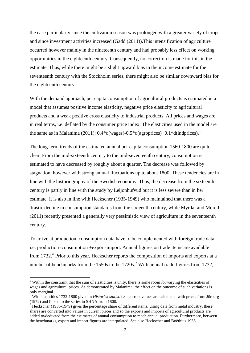the case particularly since the cultivation season was prolonged with a greater variety of crops and since investment activities increased (Gadd (2011)).This intensification of agriculture occurred however mainly in the nineteenth century and had probably less effect on working opportunities in the eighteenth century. Consequently, no correction is made for this in the estimate. Thus, while there might be a slight upward bias in the income estimate for the seventeenth century with the Stockholm series, there might also be similar downward bias for the eighteenth century.

With the demand approach, per capita consumption of agricultural products is estimated in a model that assumes positive income elasticity, negative price elasticity to agricultural products and a weak positive cross elasticity to industrial products. All prices and wages are in real terms, i.e. deflated by the consumer price index. The elasticities used in the model are the same as in Malanima (2011):  $0.4*d(wages)-0.5*d(agro prices)+0.1*d(ind prices)$  $0.4*d(wages)-0.5*d(agro prices)+0.1*d(ind prices)$  $0.4*d(wages)-0.5*d(agro prices)+0.1*d(ind prices)$ . <sup>5</sup>

The long-term trends of the estimated annual per capita consumption 1560-1800 are quite clear. From the mid-sixteenth century to the mid-seventeenth century, consumption is estimated to have decreased by roughly about a quarter. The decrease was followed by stagnation, however with strong annual fluctuations up to about 1800. These tendencies are in line with the historiography of the Swedish economy. Thus, the decrease from the sixteenth century is partly in line with the study by Leijonhufvud but it is less severe than in her estimate. It is also in line with Heckscher (1935-1949) who maintained that there was a drastic decline in consumption standards from the sixteenth century, while Myrdal and Morell (2011) recently presented a generally very pessimistic view of agriculture in the seventeenth century.

To arrive at production, consumption data have to be complemented with foreign trade data, i.e. production=consumption +export-import. Annual figures on trade items are available from 1732.<sup>[6](#page-8-1)</sup> Prior to this year, Heckscher reports the composition of imports and exports at a number of benchmarks from the 1550s to the 1[7](#page-8-2)20s.<sup>7</sup> With annual trade figures from 1732,

<span id="page-8-0"></span><sup>&</sup>lt;sup>5</sup> Within the constraint that the sum of elasticities is unity, there is some room for varying the elasticities of wages and agricultural prices. As demonstrated by Malanima, the effect on the outcome of such variations is only marginal.

<span id="page-8-1"></span><sup>&</sup>lt;sup>6</sup> With quantities 1732-1800 given in *Historisk statistik*  $3$ , current values are calculated with prices from Jörberg (1972) and linked to the series in SHNA from 1800.

<span id="page-8-2"></span>Heckscher (1935-1949) gives the percentage share of different items. Using data from metal industry, these shares are converted into values in current prices and so the exports and imports of agricultural products are added to/deducted from the estimates of annual consumption to reach annual production. Furthermore, between the benchmarks, export and import figures are interpolated. See also Heckscher and Boëthius 1938.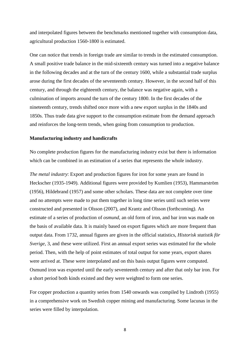and interpolated figures between the benchmarks mentioned together with consumption data, agricultural production 1560-1800 is estimated.

One can notice that trends in foreign trade are similar to trends in the estimated consumption. A small positive trade balance in the mid-sixteenth century was turned into a negative balance in the following decades and at the turn of the century 1600, while a substantial trade surplus arose during the first decades of the seventeenth century. However, in the second half of this century, and through the eighteenth century, the balance was negative again, with a culmination of imports around the turn of the century 1800. In the first decades of the nineteenth century, trends shifted once more with a new export surplus in the 1840s and 1850s. Thus trade data give support to the consumption estimate from the demand approach and reinforces the long-term trends, when going from consumption to production.

#### **Manufacturing industry and handicrafts**

No complete production figures for the manufacturing industry exist but there is information which can be combined in an estimation of a series that represents the whole industry.

*The metal industry*: Export and production figures for iron for some years are found in Heckscher (1935-1949). Additional figures were provided by Kumlien (1953), Hammarström (1956), Hildebrand (1957) and some other scholars. These data are not complete over time and no attempts were made to put them together in long time series until such series were constructed and presented in Olsson (2007), and Krantz and Olsson (forthcoming). An estimate of a series of production of *osmund*, an old form of iron, and bar iron was made on the basis of available data. It is mainly based on export figures which are more frequent than output data. From 1732, annual figures are given in the official statistics, *Historisk statistik för Sverige*, 3, and these were utilized. First an annual export series was estimated for the whole period. Then, with the help of point estimates of total output for some years, export shares were arrived at. These were interpolated and on this basis output figures were computed. Osmund iron was exported until the early seventeenth century and after that only bar iron. For a short period both kinds existed and they were weighted to form one series.

For copper production a quantity series from 1540 onwards was compiled by Lindroth (1955) in a comprehensive work on Swedish copper mining and manufacturing. Some lacunas in the series were filled by interpolation.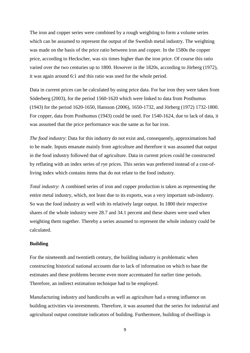The iron and copper series were combined by a rough weighting to form a volume series which can be assumed to represent the output of the Swedish metal industry. The weighting was made on the basis of the price ratio between iron and copper. In the 1580s the copper price, according to Heckscher, was six times higher than the iron price. Of course this ratio varied over the two centuries up to 1800. However in the 1820s, according to Jörberg (1972), it was again around 6:1 and this ratio was used for the whole period.

Data in current prices can be calculated by using price data. For bar iron they were taken from Söderberg (2003), for the period 1560-1620 which were linked to data from Posthumus (1943) for the period 1620-1650, Hansson (2006), 1650-1732, and Jörberg (1972) 1732-1800. For copper, data from [Posthumus \(1943\) c](http://www2.scc.rutgers.edu/memdb/search_form_postpr.php%20were%20used%201624-1800)ould be used. For 1540-1624, due to lack of data, it was assumed that the price performance was the same as for bar iron.

*The food industry*: Data for this industry do not exist and, consequently, approximations had to be made. Inputs emanate mainly from agriculture and therefore it was assumed that output in the food industry followed that of agriculture. Data in current prices could be constructed by reflating with an index series of rye prices. This series was preferred instead of a cost-ofliving index which contains items that do not relate to the food industry.

*Total industry*: A combined series of iron and copper production is taken as representing the entire metal industry, which, not least due to its exports, was a very important sub-industry. So was the food industry as well with its relatively large output. In 1800 their respective shares of the whole industry were 28.7 and 34.1 percent and these shares were used when weighting them together. Thereby a series assumed to represent the whole industry could be calculated.

#### **Building**

For the nineteenth and twentieth century, the building industry is problematic when constructing historical national accounts due to lack of information on which to base the estimates and these problems become even more accentuated for earlier time periods. Therefore, an indirect estimation technique had to be employed.

Manufacturing industry and handicrafts as well as agriculture had a strong influence on building activities via investments. Therefore, it was assumed that the series for industrial and agricultural output constitute indicators of building. Furthermore, building of dwellings is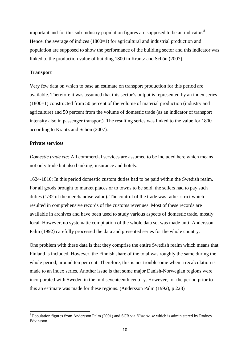important and for this sub-industry population figures are supposed to be an indicator.<sup>[8](#page-11-0)</sup> Hence, the average of indices (1800–1) for agricultural and industrial production and population are supposed to show the performance of the building sector and this indicator was linked to the production value of building 1800 in Krantz and Schön (2007).

#### **Transport**

Very few data on which to base an estimate on transport production for this period are available. Therefore it was assumed that this sector's output is represented by an index series (1800=1) constructed from 50 percent of the volume of material production (industry and agriculture) and 50 percent from the volume of domestic trade (as an indicator of transport intensity also in passenger transport). The resulting series was linked to the value for 1800 according to Krantz and Schön (2007).

#### **Private services**

*Domestic trade etc:* All commercial services are assumed to be included here which means not only trade but also banking, insurance and hotels.

1624-1810: In this period domestic custom duties had to be paid within the Swedish realm. For all goods brought to market places or to towns to be sold, the sellers had to pay such duties (1/32 of the merchandise value). The control of the trade was rather strict which resulted in comprehensive records of the customs revenues. Most of these records are available in archives and have been used to study various aspects of domestic trade, mostly local. However, no systematic compilation of the whole data set was made until Andersson Palm (1992) carefully processed the data and presented series for the whole country.

One problem with these data is that they comprise the entire Swedish realm which means that Finland is included. However, the Finnish share of the total was roughly the same during the whole period, around ten per cent. Therefore, this is not troublesome when a recalculation is made to an index series. Another issue is that some major Danish-Norwegian regions were incorporated with Sweden in the mid seventeenth century. However, for the period prior to this an estimate was made for these regions. (Andersson Palm (1992), p 228)

<span id="page-11-0"></span><sup>8</sup> Population figures from Andersson Palm (2001) and SCB via *Historia.se* which is administered by Rodney Edvinsson.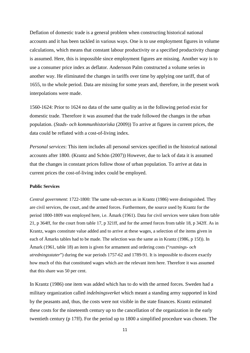Deflation of domestic trade is a general problem when constructing historical national accounts and it has been tackled in various ways. One is to use employment figures in volume calculations, which means that constant labour productivity or a specified productivity change is assumed. Here, this is impossible since employment figures are missing. Another way is to use a consumer price index as deflator. Andersson Palm constructed a volume series in another way. He eliminated the changes in tariffs over time by applying one tariff, that of 1655, to the whole period. Data are missing for some years and, therefore, in the present work interpolations were made.

1560-1624: Prior to 1624 no data of the same quality as in the following period exist for domestic trade. Therefore it was assumed that the trade followed the changes in the urban population. (*Stads- och kommunhistoriska* (2009)) To arrive at figures in current prices, the data could be reflated with a cost-of-living index.

*Personal services*: This item includes all personal services specified in the historical national accounts after 1800. (Krantz and Schön (2007)) However, due to lack of data it is assumed that the changes in constant prices follow those of urban population. To arrive at data in current prices the cost-of-living index could be employed.

#### **Public Services**

*Central government*: 1722-1800: The same sub-sectors as in Krantz (1986) were distinguished. They are civil services, the court, and the armed forces. Furthermore, the source used by Krantz for the period 1800-1809 was employed here, i.e. Åmark (1961). Data for civil services were taken from table 21, p 364ff, for the court from table 17, p 321ff, and for the armed forces from table 18, p 342ff. As in Krantz, wages constitute value added and to arrive at these wages, a selection of the items given in each of Åmarks tables had to be made. The selection was the same as in Krantz (1986, p 15f)). In Åmark (1961, table 18) an item is given for armament and ordering costs ("*rustnings- och utredningsstater*") during the war periods 1757-62 and 1789-91. It is impossible to discern exactly how much of this that constituted wages which are the relevant item here. Therefore it was assumed that this share was 50 per cent.

In Krantz (1986) one item was added which has to do with the armed forces. Sweden had a military organization called *indelningsverket* which meant a standing army supported in kind by the peasants and, thus, the costs were not visible in the state finances. Krantz estimated these costs for the nineteenth century up to the cancellation of the organization in the early twentieth century (p 17ff). For the period up to 1800 a simplified procedure was chosen. The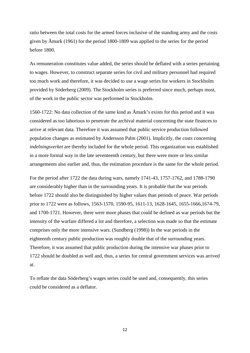ratio between the total costs for the armed forces inclusive of the standing army and the costs given by Åmark (1961) for the period 1800-1809 was applied to the series for the period before 1800.

As remuneration constitutes value added, the series should be deflated with a series pertaining to wages. However, to construct separate series for civil and military personnel had required too much work and therefore, it was decided to use a wage series for workers in Stockholm provided by Söderberg (2009). The Stockholm series is preferred since much, perhaps most, of the work in the public sector was performed in Stockholm.

1560-1722: No data collection of the same kind as Åmark's exists for this period and it was considered as too laborious to penetrate the archival material concerning the state finances to arrive at relevant data. Therefore it was assumed that public service production followed population changes as estimated by Andersson Palm (2001). Implicitly, the costs concerning *indelningsverket* are thereby included for the whole period. This organization was established in a more formal way in the late seventeenth century, but there were more or less similar arrangements also earlier and, thus, the estimation procedure is the same for the whole period.

For the period after 1722 the data during wars, namely 1741-43, 1757-1762, and 1788-1790 are considerably higher than in the surrounding years. It is probable that the war periods before 1722 should also be distinguished by higher values than periods of peace. War periods prior to 1722 were as follows, 1563-1570, 1590-95, 1611-13, 1628-1645, 1655-1666,1674-79, and 1700-1721. However, there were more phases that could be defined as war periods but the intensity of the warfare differed a lot and therefore, a selection was made so that the estimate comprises only the more intensive wars. (Sundberg (1998)) In the war periods in the eighteenth century public production was roughly double that of the surrounding years. Therefore, it was assumed that public production during the intensive war phases prior to 1722 should be doubled as well and, thus, a series for central government services was arrived at.

To reflate the data Söderberg's wages series could be used and, consequently, this series could be considered as a deflator.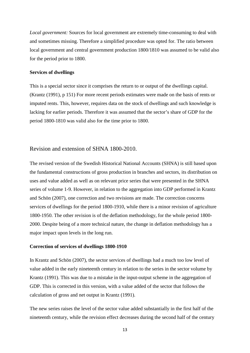*Local government:* Sources for local government are extremely time-consuming to deal with and sometimes missing. Therefore a simplified procedure was opted for. The ratio between local government and central government production 1800/1810 was assumed to be valid also for the period prior to 1800.

#### **Services of dwellings**

This is a special sector since it comprises the return to or output of the dwellings capital. (Krantz (1991), p 151) For more recent periods estimates were made on the basis of rents or imputed rents. This, however, requires data on the stock of dwellings and such knowledge is lacking for earlier periods. Therefore it was assumed that the sector's share of GDP for the period 1800-1810 was valid also for the time prior to 1800.

#### Revision and extension of SHNA 1800-2010.

The revised version of the Swedish Historical National Accounts (SHNA) is still based upon the fundamental constructions of gross production in branches and sectors, its distribution on uses and value added as well as on relevant price series that were presented in the SHNA series of volume 1-9. However, in relation to the aggregation into GDP performed in Krantz and Schön (2007), one correction and two revisions are made. The correction concerns services of dwellings for the period 1800-1910, while there is a minor revision of agriculture 1800-1950. The other revision is of the deflation methodology, for the whole period 1800- 2000. Despite being of a more technical nature, the change in deflation methodology has a major impact upon levels in the long run.

#### **Correction of services of dwellings 1800-1910**

In Krantz and Schön (2007), the sector services of dwellings had a much too low level of value added in the early nineteenth century in relation to the series in the sector volume by Krantz (1991). This was due to a mistake in the input-output scheme in the aggregation of GDP. This is corrected in this version, with a value added of the sector that follows the calculation of gross and net output in Krantz (1991).

The new series raises the level of the sector value added substantially in the first half of the nineteenth century, while the revision effect decreases during the second half of the century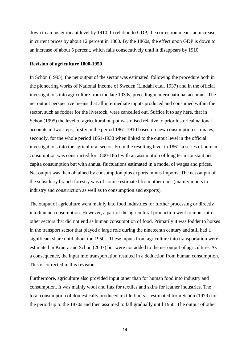down to an insignificant level by 1910. In relation to GDP, the correction means an increase in current prices by about 12 percent in 1800. By the 1860s, the effect upon GDP is down to an increase of about 5 percent, which falls consecutively until it disappears by 1910.

#### **Revision of agriculture 1800-1950**

In Schön (1995), the net output of the sector was estimated, following the procedure both in the pioneering works of National Income of Sweden (Lindahl et.al. 1937) and in the official investigations into agriculture from the late 1930s, preceding modern national accounts. The net output perspective means that all intermediate inputs produced and consumed within the sector, such as fodder for the livestock, were cancelled out. Suffice it to say here, that in Schön (1995) the level of agricultural output was raised relative to prior historical national accounts in two steps, firstly in the period 1861-1910 based on new consumption estimates; secondly, for the whole period 1861-1938 when linked to the output level in the official investigations into the agricultural sector. From the resulting level in 1861, a series of human consumption was constructed for 1800-1861 with an assumption of long term constant per capita consumption but with annual fluctuations estimated in a model of wages and prices. Net output was then obtained by consumption plus exports minus imports. The net output of the subsidiary branch forestry was of course estimated from other ends (mainly inputs to industry and construction as well as to consumption and exports).

The output of agriculture went mainly into food industries for further processing or directly into human consumption. However, a part of the agricultural production went to input into other sectors that did not end as human consumption of food. Primarily it was fodder to horses in the transport sector that played a large role during the nineteenth century and still had a significant share until about the 1950s. These inputs from agriculture into transportation were estimated in Krantz and Schön (2007) but were not added to the net output of agriculture. As a consequence, the input into transportation resulted in a deduction from human consumption. This is corrected in this revision.

Furthermore, agriculture also provided input other than for human food into industry and consumption. It was mainly wool and flax for textiles and skins for leather industries. The total consumption of domestically produced textile fibers is estimated from Schön (1979) for the period up to the 1870s and then assumed to fall gradually until 1950. The output of other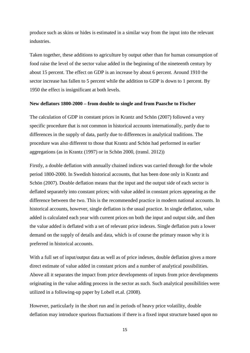produce such as skins or hides is estimated in a similar way from the input into the relevant industries.

Taken together, these additions to agriculture by output other than for human consumption of food raise the level of the sector value added in the beginning of the nineteenth century by about 15 percent. The effect on GDP is an increase by about 6 percent. Around 1910 the sector increase has fallen to 5 percent while the addition to GDP is down to 1 percent. By 1950 the effect is insignificant at both levels.

#### **New deflators 1800-2000 – from double to single and from Paasche to Fischer**

The calculation of GDP in constant prices in Krantz and Schön (2007) followed a very specific procedure that is not common in historical accounts internationally, partly due to differences in the supply of data, partly due to differences in analytical traditions. The procedure was also different to those that Krantz and Schön had performed in earlier aggregations (as in Krantz (1997) or in Schön 2000, (transl. 2012))

Firstly, a double deflation with annually chained indices was carried through for the whole period 1800-2000. In Swedish historical accounts, that has been done only in Krantz and Schön (2007). Double deflation means that the input and the output side of each sector is deflated separately into constant prices; with value added in constant prices appearing as the difference between the two. This is the recommended practice in modern national accounts. In historical accounts, however, single deflation is the usual practice. In single deflation, value added is calculated each year with current prices on both the input and output side, and then the value added is deflated with a set of relevant price indexes. Single deflation puts a lower demand on the supply of details and data, which is of course the primary reason why it is preferred in historical accounts.

With a full set of input/output data as well as of price indexes, double deflation gives a more direct estimate of value added in constant prices and a number of analytical possibilities. Above all it separates the impact from price developments of inputs from price developments originating in the value adding process in the sector as such. Such analytical possibilities were utilized in a following-up paper by Lobell et.al. (2008).

However, particularly in the short run and in periods of heavy price volatility, double deflation may introduce spurious fluctuations if there is a fixed input structure based upon no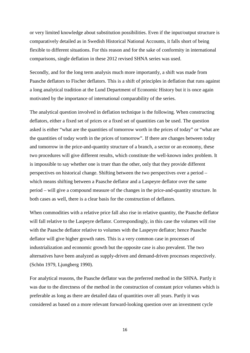or very limited knowledge about substitution possibilities. Even if the input/output structure is comparatively detailed as in Swedish Historical National Accounts, it falls short of being flexible to different situations. For this reason and for the sake of conformity in international comparisons, single deflation in these 2012 revised SHNA series was used.

Secondly, and for the long term analysis much more importantly, a shift was made from Paasche deflators to Fischer deflators. This is a shift of principles in deflation that runs against a long analytical tradition at the Lund Department of Economic History but it is once again motivated by the importance of international comparability of the series.

The analytical question involved in deflation technique is the following. When constructing deflators, either a fixed set of prices or a fixed set of quantities can be used. The question asked is either "what are the quantities of tomorrow worth in the prices of today" or "what are the quantities of today worth in the prices of tomorrow". If there are changes between today and tomorrow in the price-and-quantity structure of a branch, a sector or an economy, these two procedures will give different results, which constitute the well-known index problem. It is impossible to say whether one is truer than the other, only that they provide different perspectives on historical change. Shifting between the two perspectives over a period – which means shifting between a Paasche deflator and a Laspeyre deflator over the same period – will give a compound measure of the changes in the price-and-quantity structure. In both cases as well, there is a clear basis for the construction of deflators.

When commodities with a relative price fall also rise in relative quantity, the Paasche deflator will fall relative to the Laspeyre deflator. Correspondingly, in this case the volumes will rise with the Paasche deflator relative to volumes with the Laspeyre deflator; hence Paasche deflator will give higher growth rates. This is a very common case in processes of industrialization and economic growth but the opposite case is also prevalent. The two alternatives have been analyzed as supply-driven and demand-driven processes respectively. (Schön 1979, Ljungberg 1990).

For analytical reasons, the Paasche deflator was the preferred method in the SHNA. Partly it was due to the directness of the method in the construction of constant price volumes which is preferable as long as there are detailed data of quantities over all years. Partly it was considered as based on a more relevant forward-looking question over an investment cycle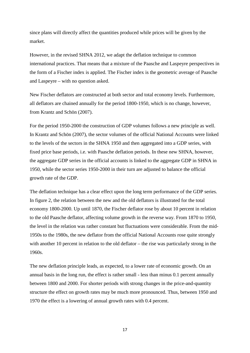since plans will directly affect the quantities produced while prices will be given by the market.

However, in the revised SHNA 2012, we adapt the deflation technique to common international practices. That means that a mixture of the Paasche and Laspeyre perspectives in the form of a Fischer index is applied. The Fischer index is the geometric average of Paasche and Laspeyre – with no question asked.

New Fischer deflators are constructed at both sector and total economy levels. Furthermore, all deflators are chained annually for the period 1800-1950, which is no change, however, from Krantz and Schön (2007).

For the period 1950-2000 the construction of GDP volumes follows a new principle as well. In Krantz and Schön (2007), the sector volumes of the official National Accounts were linked to the levels of the sectors in the SHNA 1950 and then aggregated into a GDP series, with fixed price base periods, i.e. with Paasche deflation periods. In these new SHNA, however, the aggregate GDP series in the official accounts is linked to the aggregate GDP in SHNA in 1950, while the sector series 1950-2000 in their turn are adjusted to balance the official growth rate of the GDP.

The deflation technique has a clear effect upon the long term performance of the GDP series. In figure 2, the relation between the new and the old deflators is illustrated for the total economy 1800-2000. Up until 1870, the Fischer deflator rose by about 10 percent in relation to the old Paasche deflator, affecting volume growth in the reverse way. From 1870 to 1950, the level in the relation was rather constant but fluctuations were considerable. From the mid-1950s to the 1980s, the new deflator from the official National Accounts rose quite strongly with another 10 percent in relation to the old deflator – the rise was particularly strong in the 1960s.

The new deflation principle leads, as expected, to a lower rate of economic growth. On an annual basis in the long run, the effect is rather small - less than minus 0.1 percent annually between 1800 and 2000. For shorter periods with strong changes in the price-and-quantity structure the effect on growth rates may be much more pronounced. Thus, between 1950 and 1970 the effect is a lowering of annual growth rates with 0.4 percent.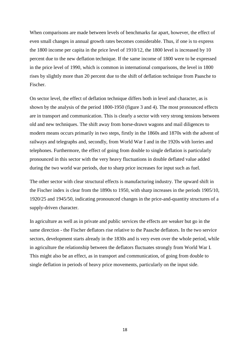When comparisons are made between levels of benchmarks far apart, however, the effect of even small changes in annual growth rates becomes considerable. Thus, if one is to express the 1800 income per capita in the price level of 1910/12, the 1800 level is increased by 10 percent due to the new deflation technique. If the same income of 1800 were to be expressed in the price level of 1990, which is common in international comparisons, the level in 1800 rises by slightly more than 20 percent due to the shift of deflation technique from Paasche to Fischer.

On sector level, the effect of deflation technique differs both in level and character, as is shown by the analysis of the period 1800-1950 (figure 3 and 4). The most pronounced effects are in transport and communication. This is clearly a sector with very strong tensions between old and new techniques. The shift away from horse-drawn wagons and mail diligences to modern means occurs primarily in two steps, firstly in the 1860s and 1870s with the advent of railways and telegraphs and, secondly, from World War I and in the 1920s with lorries and telephones. Furthermore, the effect of going from double to single deflation is particularly pronounced in this sector with the very heavy fluctuations in double deflated value added during the two world war periods, due to sharp price increases for input such as fuel.

The other sector with clear structural effects is manufacturing industry. The upward shift in the Fischer index is clear from the 1890s to 1950, with sharp increases in the periods 1905/10, 1920/25 and 1945/50, indicating pronounced changes in the price-and-quantity structures of a supply-driven character.

In agriculture as well as in private and public services the effects are weaker but go in the same direction - the Fischer deflators rise relative to the Paasche deflators. In the two service sectors, development starts already in the 1830s and is very even over the whole period, while in agriculture the relationship between the deflators fluctuates strongly from World War I. This might also be an effect, as in transport and communication, of going from double to single deflation in periods of heavy price movements, particularly on the input side.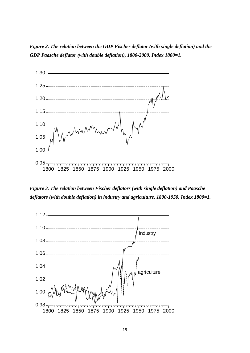*Figure 2. The relation between the GDP Fischer deflator (with single deflation) and the GDP Paasche deflator (with double deflation), 1800-2000. Index 1800=1.*



*Figure 3. The relation between Fischer deflators (with single deflation) and Paasche deflators (with double deflation) in industry and agriculture, 1800-1950. Index 1800=1.*

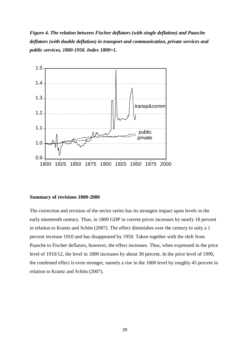*Figure 4. The relation between Fischer deflators (with single deflation) and Paasche deflators (with double deflation) in transport and communication, private services and public services, 1800-1950. Index 1800=1.*



#### **Summary of revisions 1800-2000**

The correction and revision of the sector series has its strongest impact upon levels in the early nineteenth century. Thus, in 1800 GDP in current prices increases by nearly 18 percent in relation to Krantz and Schön (2007). The effect diminishes over the century to only a 1 percent increase 1910 and has disappeared by 1950. Taken together with the shift from Paasche to Fischer deflators, however, the effect increases. Thus, when expressed in the price level of 1910/12, the level in 1800 increases by about 30 percent. In the price level of 1990, the combined effect is even stronger, namely a rise in the 1800 level by roughly 45 percent in relation to Krantz and Schön (2007).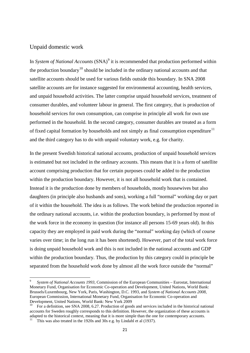#### Unpaid domestic work

In *System of National Accounts* (SNA)<sup>[9](#page-22-0)</sup> it is recommended that production performed within the production boundary<sup>[10](#page-22-1)</sup> should be included in the ordinary national accounts and that satellite accounts should be used for various fields outside this boundary. In SNA 2008 satellite accounts are for instance suggested for environmental accounting, health services, and unpaid household activities. The latter comprise unpaid household services, treatment of consumer durables, and volunteer labour in general. The first category, that is production of household services for own consumption, can comprise in principle all work for own use performed in the household. In the second category, consumer durables are treated as a form of fixed capital formation by households and not simply as final consumption expenditure<sup>[11](#page-22-2)</sup> and the third category has to do with unpaid voluntary work, e.g. for charity.

In the present Swedish historical national accounts, production of unpaid household services is estimated but not included in the ordinary accounts. This means that it is a form of satellite account comprising production that for certain purposes could be added to the production within the production boundary. However, it is not all household work that is contained. Instead it is the production done by members of households, mostly housewives but also daughters (in principle also husbands and sons), working a full "normal" working day or part of it within the household. The idea is as follows. The work behind the production reported in the ordinary national accounts, i.e. within the production boundary, is performed by most of the work force in the economy in question (for instance all persons 15-69 years old). In this capacity they are employed in paid work during the "normal" working day (which of course varies over time; in the long run it has been shortened). However, part of the total work force is doing unpaid household work and this is not included in the national accounts and GDP within the production boundary. Thus, the production by this category could in principle be separated from the household work done by almost all the work force outside the "normal"

<span id="page-22-0"></span><sup>9</sup> *System of National Accounts 1993*, Commission of the European Communities – Eurostat, International Monetary Fund, Organisation for Economic Co-operation and Development, United Nations, World Bank: Brussels/Luxembourg, New York, Paris, Washington, D.C. 1993, and *System of National Accounts 2008,*  European Commission, International Monetary Fund, Organisation for Economic Co-operation and Development, United Nations, World Bank: New York 2009

<span id="page-22-2"></span><span id="page-22-1"></span><sup>10</sup> For a definition, see SNA 2008, 6.27. Production of goods and services included in the historical national accounts for Sweden roughly corresponds to this definition. However, the organization of these accounts is adapted to the historical context, meaning that it is more simple than the one for contemporary accounts.<br><sup>11</sup> This was also treated in the 1920s and 30s e.g. by Lindahl et al (1937).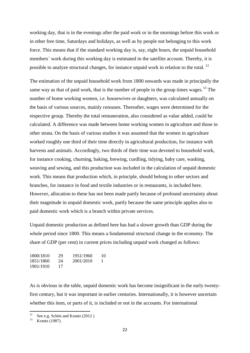working day, that is in the evenings after the paid work or in the mornings before this work or in other free time, Saturdays and holidays, as well as by people not belonging to this work force. This means that if the standard working day is, say, eight hours, the unpaid household members´ work during this working day is estimated in the satellite account. Thereby, it is possible to analyze structural changes, for instance unpaid work in relation to the total.<sup>[12](#page-23-0)</sup>

The estimation of the unpaid household work from 1800 onwards was made in principally the same way as that of paid work, that is the number of people in the group times wages.<sup>[13](#page-23-1)</sup> The number of home working women, i.e. housewives or daughters, was calculated annually on the basis of various sources, mainly censuses. Thereafter, wages were determined for the respective group. Thereby the total remuneration, also considered as value added, could be calculated. A difference was made between home working women in agriculture and those in other strata. On the basis of various studies it was assumed that the women in agriculture worked roughly one third of their time directly in agricultural production, for instance with harvests and animals. Accordingly, two thirds of their time was devoted to household work, for instance cooking, churning, baking, brewing, curdling, tidying, baby care, washing, weaving and sewing, and this production was included in the calculation of unpaid domestic work. This means that production which, in principle, should belong to other sectors and branches, for instance in food and textile industries or in restaurants, is included here. However, allocation to these has not been made partly because of profound uncertainty about their magnitude in unpaid domestic work, partly because the same principle applies also to paid domestic work which is a branch within private services.

Unpaid domestic production as defined here has had a slower growth than GDP during the whole period since 1800. This means a fundamental structural change in the economy. The share of GDP (per cent) in current prices including unpaid work changed as follows:

| 1800/1810 | 29 | 1951/1960 | 10 |
|-----------|----|-----------|----|
| 1851/1860 | 24 | 2001/2010 |    |
| 1901/1910 | 17 |           |    |

As is obvious in the table, unpaid domestic work has become insignificant in the early twentyfirst century, but it was important in earlier centuries. Internationally, it is however uncertain whether this item, or parts of it, is included or not in the accounts. For international

<span id="page-23-0"></span><sup>&</sup>lt;sup>12</sup> See e.g. Schön and Krantz (2012)<br>
Krantz (1987).

<span id="page-23-1"></span>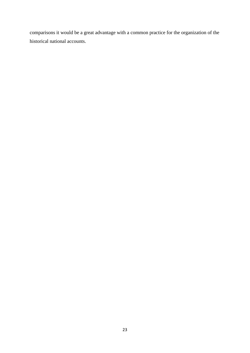comparisons it would be a great advantage with a common practice for the organization of the historical national accounts.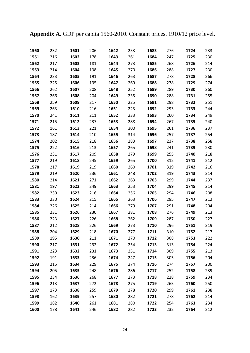**Appendix A**. GDP per capita 1560-2010. Constant prices, 1910/12 price level.

| 1560 | 232 | 1601 | 206 | 1642 | 253 | 1683 | 276 | 1724 | 233 |
|------|-----|------|-----|------|-----|------|-----|------|-----|
| 1561 | 216 | 1602 | 178 | 1643 | 261 | 1684 | 247 | 1725 | 230 |
| 1562 | 217 | 1603 | 181 | 1644 | 273 | 1685 | 268 | 1726 | 214 |
| 1563 | 214 | 1604 | 198 | 1645 | 270 | 1686 | 288 | 1727 | 230 |
| 1564 | 233 | 1605 | 191 | 1646 | 263 | 1687 | 278 | 1728 | 266 |
| 1565 | 225 | 1606 | 195 | 1647 | 269 | 1688 | 278 | 1729 | 274 |
| 1566 | 262 | 1607 | 208 | 1648 | 252 | 1689 | 289 | 1730 | 260 |
| 1567 | 266 | 1608 | 204 | 1649 | 235 | 1690 | 288 | 1731 | 255 |
| 1568 | 259 | 1609 | 217 | 1650 | 225 | 1691 | 298 | 1732 | 251 |
| 1569 | 263 | 1610 | 216 | 1651 | 223 | 1692 | 293 | 1733 | 244 |
| 1570 | 241 | 1611 | 211 | 1652 | 233 | 1693 | 260 | 1734 | 249 |
| 1571 | 215 | 1612 | 237 | 1653 | 288 | 1694 | 267 | 1735 | 240 |
| 1572 | 161 | 1613 | 221 | 1654 | 300 | 1695 | 261 | 1736 | 237 |
| 1573 | 187 | 1614 | 210 | 1655 | 314 | 1696 | 257 | 1737 | 254 |
| 1574 | 202 | 1615 | 218 | 1656 | 283 | 1697 | 237 | 1738 | 258 |
| 1575 | 222 | 1616 | 213 | 1657 | 265 | 1698 | 241 | 1739 | 230 |
| 1576 | 231 | 1617 | 209 | 1658 | 279 | 1699 | 255 | 1740 | 218 |
| 1577 | 219 | 1618 | 245 | 1659 | 265 | 1700 | 312 | 1741 | 212 |
| 1578 | 217 | 1619 | 219 | 1660 | 260 | 1701 | 319 | 1742 | 216 |
| 1579 | 219 | 1620 | 236 | 1661 | 248 | 1702 | 319 | 1743 | 214 |
| 1580 | 214 | 1621 | 271 | 1662 | 263 | 1703 | 299 | 1744 | 237 |
| 1581 | 197 | 1622 | 249 | 1663 | 253 | 1704 | 299 | 1745 | 214 |
| 1582 | 230 | 1623 | 216 | 1664 | 256 | 1705 | 294 | 1746 | 208 |
| 1583 | 230 | 1624 | 215 | 1665 | 263 | 1706 | 295 | 1747 | 212 |
| 1584 | 226 | 1625 | 214 | 1666 | 279 | 1707 | 291 | 1748 | 204 |
| 1585 | 231 | 1626 | 230 | 1667 | 281 | 1708 | 276 | 1749 | 213 |
| 1586 | 223 | 1627 | 226 | 1668 | 262 | 1709 | 287 | 1750 | 227 |
| 1587 | 212 | 1628 | 226 | 1669 | 273 | 1710 | 296 | 1751 | 219 |
| 1588 | 204 | 1629 | 218 | 1670 | 277 | 1711 | 310 | 1752 | 217 |
| 1589 | 195 | 1630 | 211 | 1671 | 270 | 1712 | 308 | 1753 | 222 |
| 1590 | 217 | 1631 | 232 | 1672 | 254 | 1713 | 313 | 1754 | 224 |
| 1591 | 223 | 1632 | 231 | 1673 | 251 | 1714 | 309 | 1755 | 213 |
| 1592 | 191 | 1633 | 236 | 1674 | 247 | 1715 | 305 | 1756 | 204 |
| 1593 | 215 | 1634 | 229 | 1675 | 274 | 1716 | 274 | 1757 | 200 |
| 1594 | 205 | 1635 | 248 | 1676 | 286 | 1717 | 252 | 1758 | 239 |
| 1595 | 234 | 1636 | 268 | 1677 | 273 | 1718 | 228 | 1759 | 234 |
| 1596 | 213 | 1637 | 272 | 1678 | 275 | 1719 | 265 | 1760 | 250 |
| 1597 | 173 | 1638 | 259 | 1679 | 278 | 1720 | 299 | 1761 | 238 |
| 1598 | 162 | 1639 | 257 | 1680 | 282 | 1721 | 278 | 1762 | 214 |
| 1599 | 182 | 1640 | 261 | 1681 | 280 | 1722 | 254 | 1763 | 234 |
| 1600 | 178 | 1641 | 246 | 1682 | 282 | 1723 | 232 | 1764 | 212 |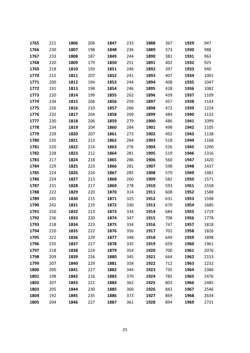| 1765 | 221 | 1806 | 206 | 1847 | 233 | 1888 | 367 | 1929 | 947  |
|------|-----|------|-----|------|-----|------|-----|------|------|
| 1766 | 230 | 1807 | 198 | 1848 | 236 | 1889 | 373 | 1930 | 988  |
| 1767 | 233 | 1808 | 187 | 1849 | 244 | 1890 | 381 | 1931 | 963  |
| 1768 | 220 | 1809 | 179 | 1850 | 251 | 1891 | 402 | 1932 | 925  |
| 1769 | 218 | 1810 | 193 | 1851 | 246 | 1892 | 397 | 1933 | 940  |
| 1770 | 215 | 1811 | 207 | 1852 | 241 | 1893 | 407 | 1934 | 1001 |
| 1771 | 200 | 1812 | 194 | 1853 | 244 | 1894 | 408 | 1935 | 1047 |
| 1772 | 191 | 1813 | 198 | 1854 | 246 | 1895 | 428 | 1936 | 1082 |
| 1773 | 220 | 1814 | 199 | 1855 | 262 | 1896 | 439 | 1937 | 1109 |
| 1774 | 234 | 1815 | 206 | 1856 | 259 | 1897 | 457 | 1938 | 1143 |
| 1775 | 226 | 1816 | 210 | 1857 | 266 | 1898 | 472 | 1939 | 1224 |
| 1776 | 232 | 1817 | 204 | 1858 | 269 | 1899 | 484 | 1940 | 1132 |
| 1777 | 230 | 1818 | 206 | 1859 | 279 | 1900 | 486 | 1941 | 1099 |
| 1778 | 234 | 1819 | 204 | 1860 | 284 | 1901 | 498 | 1942 | 1105 |
| 1779 | 239 | 1820 | 207 | 1861 | 273 | 1902 | 492 | 1943 | 1138 |
| 1780 | 235 | 1821 | 213 | 1862 | 264 | 1903 | 518 | 1944 | 1168 |
| 1781 | 220 | 1822 | 214 | 1863 | 276 | 1904 | 526 | 1945 | 1200 |
| 1782 | 228 | 1823 | 212 | 1864 | 281 | 1905 | 519 | 1946 | 1316 |
| 1783 | 217 | 1824 | 218 | 1865 | 286 | 1906 | 560 | 1947 | 1420 |
| 1784 | 229 | 1825 | 223 | 1866 | 281 | 1907 | 598 | 1948 | 1437 |
| 1785 | 224 | 1826 | 224 | 1867 | 285 | 1908 | 579 | 1949 | 1481 |
| 1786 | 224 | 1827 | 213 | 1868 | 260 | 1909 | 582 | 1950 | 1571 |
| 1787 | 231 | 1828 | 217 | 1869 | 278 | 1910 | 593 | 1951 | 1558 |
| 1788 | 222 | 1829 | 220 | 1870 | 314 | 1911 | 608 | 1952 | 1588 |
| 1789 | 245 | 1830 | 215 | 1871 | 325 | 1912 | 631 | 1953 | 1598 |
| 1790 | 242 | 1831 | 219 | 1872 | 330 | 1913 | 670 | 1954 | 1685 |
| 1791 | 250 | 1832 | 213 | 1873 | 334 | 1914 | 684 | 1955 | 1719 |
| 1792 | 236 | 1833 | 220 | 1874 | 347 | 1915 | 708 | 1956 | 1778 |
| 1793 | 218 | 1834 | 223 | 1875 | 334 | 1916 | 747 | 1957 | 1818 |
| 1794 | 220 | 1835 | 222 | 1876 | 356 | 1917 | 702 | 1958 | 1826 |
| 1795 | 222 | 1836 | 229 | 1877 | 348 | 1918 | 649 | 1959 | 1898 |
| 1796 | 235 | 1837 | 227 | 1878 | 335 | 1919 | 659 | 1960 | 1961 |
| 1797 | 218 | 1838 | 224 | 1879 | 354 | 1920 | 700 | 1961 | 2076 |
| 1798 | 209 | 1839 | 226 | 1880 | 345 | 1921 | 664 | 1962 | 2153 |
| 1799 | 207 | 1840 | 229 | 1881 | 358 | 1922 | 712 | 1963 | 2232 |
| 1800 | 200 | 1841 | 227 | 1882 | 344 | 1923 | 735 | 1964 | 2386 |
| 1801 | 198 | 1842 | 216 | 1883 | 370 | 1924 | 785 | 1965 | 2476 |
| 1802 | 207 | 1843 | 221 | 1884 | 362 | 1925 | 803 | 1966 | 2485 |
| 1803 | 205 | 1844 | 230 | 1885 | 369 | 1926 | 842 | 1967 | 2546 |
| 1804 | 192 | 1845 | 235 | 1886 | 373 | 1927 | 869 | 1968 | 2634 |
| 1805 | 204 | 1846 | 227 | 1887 | 361 | 1928 | 894 | 1969 | 2731 |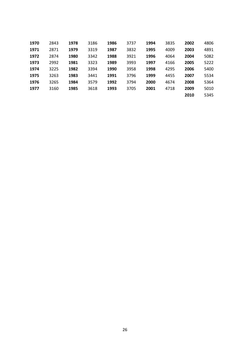| 1970 | 2843 | 1978 | 3186 | 1986 | 3737 | 1994 | 3835 | 2002 | 4806 |
|------|------|------|------|------|------|------|------|------|------|
| 1971 | 2871 | 1979 | 3319 | 1987 | 3832 | 1995 | 4009 | 2003 | 4891 |
| 1972 | 2874 | 1980 | 3342 | 1988 | 3921 | 1996 | 4064 | 2004 | 5082 |
| 1973 | 2992 | 1981 | 3323 | 1989 | 3993 | 1997 | 4166 | 2005 | 5222 |
| 1974 | 3225 | 1982 | 3394 | 1990 | 3958 | 1998 | 4295 | 2006 | 5400 |
| 1975 | 3263 | 1983 | 3441 | 1991 | 3796 | 1999 | 4455 | 2007 | 5534 |
| 1976 | 3265 | 1984 | 3579 | 1992 | 3794 | 2000 | 4674 | 2008 | 5364 |
| 1977 | 3160 | 1985 | 3618 | 1993 | 3705 | 2001 | 4718 | 2009 | 5010 |
|      |      |      |      |      |      |      |      | 2010 | 5345 |
|      |      |      |      |      |      |      |      |      |      |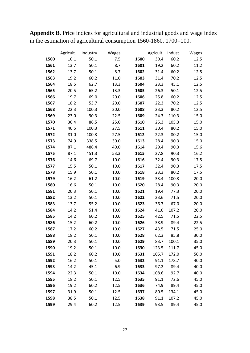**Appendix B**. Price indices for agricultural and industrial goods and wage index in the estimation of agricultural consumption 1560-1860. 1700=100.

|      | Agricult. | Industry | Wages |      | Agricult. | Indust | Wages |
|------|-----------|----------|-------|------|-----------|--------|-------|
| 1560 | 10.1      | 50.1     | 7.5   | 1600 | 30.4      | 60.2   | 12.5  |
| 1561 | 13.7      | 50.1     | 8.7   | 1601 | 19.2      | 60.2   | 11.2  |
| 1562 | 13.7      | 50.1     | 8.7   | 1602 | 31.4      | 60.2   | 12.5  |
| 1563 | 19.2      | 60.2     | 11.0  | 1603 | 31.4      | 70.2   | 12.5  |
| 1564 | 18.5      | 62.7     | 13.3  | 1604 | 23.3      | 45.1   | 12.5  |
| 1565 | 20.5      | 65.2     | 13.3  | 1605 | 26.3      | 50.1   | 12.5  |
| 1566 | 19.7      | 69.0     | 20.0  | 1606 | 25.8      | 60.2   | 12.5  |
| 1567 | 18.2      | 53.7     | 20.0  | 1607 | 22.3      | 70.2   | 12.5  |
| 1568 | 22.3      | 100.3    | 20.0  | 1608 | 23.3      | 80.2   | 12.5  |
| 1569 | 23.0      | 90.3     | 22.5  | 1609 | 24.3      | 110.3  | 15.0  |
| 1570 | 30.4      | 86.5     | 25.0  | 1610 | 25.3      | 105.3  | 15.0  |
| 1571 | 40.5      | 100.3    | 27.5  | 1611 | 30.4      | 80.2   | 15.0  |
| 1572 | 81.0      | 100.3    | 27.5  | 1612 | 22.3      | 80.2   | 15.0  |
| 1573 | 74.9      | 338.5    | 30.0  | 1613 | 28.4      | 90.3   | 15.0  |
| 1574 | 87.1      | 486.4    | 40.0  | 1614 | 29.4      | 90.3   | 15.6  |
| 1575 | 87.1      | 451.3    | 53.3  | 1615 | 27.8      | 90.3   | 16.2  |
| 1576 | 14.6      | 69.7     | 10.0  | 1616 | 32.4      | 90.3   | 17.5  |
| 1577 | 15.5      | 50.1     | 10.0  | 1617 | 32.4      | 90.3   | 17.5  |
| 1578 | 15.9      | 50.1     | 10.0  | 1618 | 23.3      | 80.2   | 17.5  |
| 1579 | 16.2      | 61.2     | 10.0  | 1619 | 33.4      | 100.3  | 20.0  |
| 1580 | 16.6      | 50.1     | 10.0  | 1620 | 28.4      | 90.3   | 20.0  |
| 1581 | 20.3      | 50.1     | 10.0  | 1621 | 19.4      | 77.3   | 20.0  |
| 1582 | 13.2      | 50.1     | 10.0  | 1622 | 23.6      | 71.5   | 20.0  |
| 1583 | 13.7      | 55.2     | 10.0  | 1623 | 36.7      | 67.0   | 20.0  |
| 1584 | 14.2      | 51.4     | 10.0  | 1624 | 41.0      | 107.2  | 20.0  |
| 1585 | 14.2      | 60.2     | 10.0  | 1625 | 42.5      | 71.5   | 22.5  |
| 1586 | 15.2      | 60.2     | 10.0  | 1626 | 38.9      | 89.4   | 22.5  |
| 1587 | 17.2      | 60.2     | 10.0  | 1627 | 43.5      | 71.5   | 25.0  |
| 1588 | 18.2      | 50.1     | 10.0  | 1628 | 62.3      | 85.8   | 30.0  |
| 1589 | 20.3      | 50.1     | 10.0  | 1629 | 83.7      | 100.1  | 35.0  |
| 1590 | 19.2      | 50.1     | 10.0  | 1630 | 123.5     | 111.7  | 45.0  |
| 1591 | 18.2      | 60.2     | 10.0  | 1631 | 105.7     | 172.0  | 50.0  |
| 1592 | 16.2      | 50.1     | 5.0   | 1632 | 91.1      | 178.7  | 40.0  |
| 1593 | 14.2      | 45.1     | 6.9   | 1633 | 97.2      | 89.4   | 40.0  |
| 1594 | 22.3      | 50.1     | 10.0  | 1634 | 108.6     | 92.7   | 40.0  |
| 1595 | 18.2      | 50.1     | 12.5  | 1635 | 91.1      | 72.6   | 45.0  |
| 1596 | 19.2      | 60.2     | 12.5  | 1636 | 74.9      | 89.4   | 45.0  |
| 1597 | 31.9      | 50.1     | 12.5  | 1637 | 80.5      | 134.1  | 45.0  |
| 1598 | 38.5      | 50.1     | 12.5  | 1638 | 91.1      | 107.2  | 45.0  |
| 1599 | 29.4      | 60.2     | 12.5  | 1639 | 93.5      | 89.4   | 45.0  |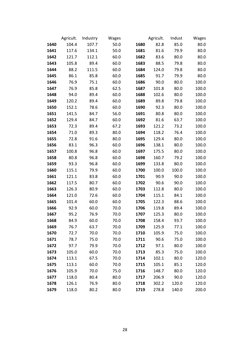|      | Agricult. | Industry | Wages |      | Agricult. | Indust | Wages |
|------|-----------|----------|-------|------|-----------|--------|-------|
| 1640 | 104.4     | 107.7    | 50.0  | 1680 | 82.8      | 85.0   | 80.0  |
| 1641 | 117.6     | 134.1    | 50.0  | 1681 | 81.6      | 79.9   | 80.0  |
| 1642 | 121.7     | 112.1    | 60.0  | 1682 | 83.6      | 80.0   | 80.0  |
| 1643 | 105.8     | 89.4     | 60.0  | 1683 | 88.5      | 79.8   | 80.0  |
| 1644 | 88.2      | 111.5    | 60.0  | 1684 | 124.0     | 79.8   | 80.0  |
| 1645 | 86.1      | 85.8     | 60.0  | 1685 | 91.7      | 79.9   | 80.0  |
| 1646 | 76.9      | 75.1     | 60.0  | 1686 | 90.0      | 80.0   | 100.0 |
| 1647 | 76.9      | 85.8     | 62.5  | 1687 | 101.8     | 80.0   | 100.0 |
| 1648 | 94.0      | 89.4     | 60.0  | 1688 | 102.6     | 80.0   | 100.0 |
| 1649 | 120.2     | 89.4     | 60.0  | 1689 | 89.8      | 79.8   | 100.0 |
| 1650 | 152.1     | 78.6     | 60.0  | 1690 | 92.3      | 80.0   | 100.0 |
| 1651 | 141.5     | 84.7     | 56.0  | 1691 | 80.8      | 80.0   | 100.0 |
| 1652 | 129.4     | 84.7     | 60.0  | 1692 | 81.6      | 63.7   | 100.0 |
| 1653 | 72.3      | 89.4     | 67.2  | 1693 | 121.2     | 73.2   | 100.0 |
| 1654 | 71.0      | 89.3     | 80.0  | 1694 | 118.2     | 76.4   | 100.0 |
| 1655 | 72.8      | 91.6     | 80.0  | 1695 | 129.4     | 80.0   | 100.0 |
| 1656 | 83.1      | 96.3     | 60.0  | 1696 | 138.1     | 80.0   | 100.0 |
| 1657 | 100.8     | 96.8     | 60.0  | 1697 | 175.5     | 80.0   | 100.0 |
| 1658 | 80.8      | 96.8     | 60.0  | 1698 | 160.7     | 79.2   | 100.0 |
| 1659 | 93.3      | 96.8     | 60.0  | 1699 | 133.8     | 80.0   | 100.0 |
| 1660 | 115.1     | 79.9     | 60.0  | 1700 | 100.0     | 100.0  | 100.0 |
| 1661 | 121.1     | 83.8     | 60.0  | 1701 | 90.9      | 90.0   | 100.0 |
| 1662 | 117.5     | 80.7     | 60.0  | 1702 | 90.6      | 90.0   | 100.0 |
| 1663 | 126.3     | 80.9     | 60.0  | 1703 | 112.8     | 80.0   | 100.0 |
| 1664 | 121.0     | 72.6     | 60.0  | 1704 | 115.1     | 84.1   | 100.0 |
| 1665 | 101.4     | 60.0     | 60.0  | 1705 | 122.3     | 88.6   | 100.0 |
| 1666 | 92.9      | 60.0     | 70.0  | 1706 | 119.8     | 89.4   | 100.0 |
| 1667 | 95.2      | 76.9     | 70.0  | 1707 | 125.3     | 80.0   | 100.0 |
| 1668 | 84.9      | 60.0     | 70.0  | 1708 | 158.4     | 93.7   | 100.0 |
| 1669 | 76.7      | 63.7     | 70.0  | 1709 | 125.9     | 77.1   | 100.0 |
| 1670 | 72.7      | 70.0     | 70.0  | 1710 | 105.9     | 75.0   | 100.0 |
| 1671 | 78.7      | 75.0     | 70.0  | 1711 | 90.6      | 75.0   | 100.0 |
| 1672 | 97.7      | 79.9     | 70.0  | 1712 | 97.1      | 80.0   | 100.0 |
| 1673 | 105.0     | 60.0     | 70.0  | 1713 | 85.3      | 75.0   | 100.0 |
| 1674 | 113.1     | 67.5     | 70.0  | 1714 | 102.1     | 80.0   | 120.0 |
| 1675 | 113.1     | 60.0     | 70.0  | 1715 | 105.1     | 85.1   | 120.0 |
| 1676 | 105.9     | 70.0     | 75.0  | 1716 | 148.7     | 80.0   | 120.0 |
| 1677 | 118.0     | 80.4     | 80.0  | 1717 | 206.9     | 90.0   | 120.0 |
| 1678 | 126.1     | 76.9     | 80.0  | 1718 | 302.2     | 120.0  | 120.0 |
| 1679 | 118.0     | 80.2     | 80.0  | 1719 | 278.8     | 140.0  | 200.0 |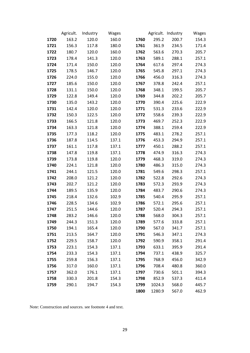|      | Agricult. | Industry | Wages |      |        | Agricult. Industry | Wages |
|------|-----------|----------|-------|------|--------|--------------------|-------|
| 1720 | 163.2     | 120.0    | 160.0 | 1760 | 295.2  | 200.7              | 154.3 |
| 1721 | 156.3     | 117.8    | 180.0 | 1761 | 361.9  | 234.5              | 171.4 |
| 1722 | 180.7     | 120.0    | 160.0 | 1762 | 563.6  | 270.3              | 205.7 |
| 1723 | 178.4     | 141.3    | 120.0 | 1763 | 589.1  | 288.1              | 257.1 |
| 1724 | 171.4     | 150.0    | 120.0 | 1764 | 617.6  | 297.4              | 274.3 |
| 1725 | 178.5     | 146.7    | 120.0 | 1765 | 545.8  | 297.1              | 274.3 |
| 1726 | 224.0     | 155.0    | 120.0 | 1766 | 456.0  | 316.3              | 274.3 |
| 1727 | 185.6     | 150.0    | 120.0 | 1767 | 378.8  | 242.4              | 257.1 |
| 1728 | 131.1     | 150.0    | 120.0 | 1768 | 348.1  | 199.5              | 205.7 |
| 1729 | 122.8     | 149.4    | 120.0 | 1769 | 344.8  | 202.2              | 205.7 |
| 1730 | 135.0     | 143.2    | 120.0 | 1770 | 390.4  | 225.6              | 222.9 |
| 1731 | 142.4     | 120.0    | 120.0 | 1771 | 531.3  | 233.6              | 222.9 |
| 1732 | 150.3     | 122.5    | 120.0 | 1772 | 558.6  | 239.3              | 222.9 |
| 1733 | 166.5     | 121.8    | 120.0 | 1773 | 469.7  | 252.3              | 222.9 |
| 1734 | 163.3     | 121.8    | 120.0 | 1774 | 388.1  | 259.4              | 222.9 |
| 1735 | 177.3     | 118.2    | 120.0 | 1775 | 483.1  | 278.2              | 257.1 |
| 1736 | 187.8     | 114.5    | 137.1 | 1776 | 453.3  | 294.9              | 257.1 |
| 1737 | 161.1     | 117.8    | 137.1 | 1777 | 450.1  | 288.2              | 257.1 |
| 1738 | 147.8     | 119.8    | 137.1 | 1778 | 474.9  | 316.3              | 274.3 |
| 1739 | 173.8     | 119.8    | 120.0 | 1779 | 468.3  | 319.0              | 274.3 |
| 1740 | 224.1     | 121.8    | 120.0 | 1780 | 486.3  | 315.0              | 274.3 |
| 1741 | 244.1     | 121.5    | 120.0 | 1781 | 549.6  | 298.3              | 257.1 |
| 1742 | 208.0     | 121.2    | 120.0 | 1782 | 522.8  | 292.6              | 274.3 |
| 1743 | 202.7     | 121.2    | 120.0 | 1783 | 572.3  | 293.9              | 274.3 |
| 1744 | 189.5     | 135.9    | 120.0 | 1784 | 483.7  | 290.6              | 274.3 |
| 1745 | 218.4     | 132.6    | 102.9 | 1785 | 540.4  | 295.9              | 257.1 |
| 1746 | 228.5     | 134.6    | 102.9 | 1786 | 572.1  | 295.6              | 257.1 |
| 1747 | 251.5     | 144.6    | 120.0 | 1787 | 520.4  | 294.3              | 257.1 |
| 1748 | 283.2     | 146.6    | 120.0 | 1788 | 568.0  | 304.3              | 257.1 |
| 1749 | 244.3     | 151.3    | 120.0 | 1789 | 577.6  | 333.8              | 257.1 |
| 1750 | 194.1     | 165.4    | 120.0 | 1790 | 567.0  | 341.7              | 257.1 |
| 1751 | 213.5     | 164.7    | 120.0 | 1791 | 546.3  | 347.1              | 274.3 |
| 1752 | 229.5     | 158.7    | 120.0 | 1792 | 590.9  | 358.1              | 291.4 |
| 1753 | 223.1     | 154.3    | 137.1 | 1793 | 633.1  | 395.9              | 291.4 |
| 1754 | 233.3     | 154.3    | 137.1 | 1794 | 737.1  | 438.9              | 325.7 |
| 1755 | 259.8     | 156.3    | 137.1 | 1795 | 768.9  | 456.0              | 342.9 |
| 1756 | 317.0     | 160.0    | 137.1 | 1796 | 708.4  | 480.8              | 360.0 |
| 1757 | 362.0     | 176.1    | 137.1 | 1797 | 730.6  | 501.1              | 394.3 |
| 1758 | 330.3     | 201.8    | 154.3 | 1798 | 852.9  | 537.3              | 411.4 |
| 1759 | 290.1     | 194.7    | 154.3 | 1799 | 1024.3 | 568.0              | 445.7 |
|      |           |          |       | 1800 | 1280.9 | 567.0              | 462.9 |

Note: Construction and sources. see footnote 4 and text.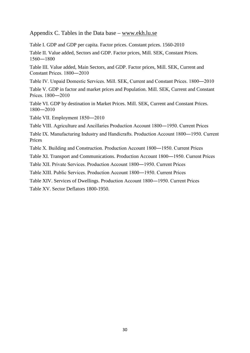#### Appendix C. Tables in the Data base – [www.ekh.lu.se](http://www.ekh.lu.se/)

[Table I. GDP and GDP per capita. Factor prices. Constant prices. 1560-2010](http://wwwtest.ekh.lu.se/media/ekh/forskning/database/shna1560-2010/shna2012tablei.xlsx)

[Table II. Value added, Sectors and GDP. Factor prices, Mill. SEK, Constant Prices.](http://wwwtest.ekh.lu.se/media/ekh/forskning/database/shna1560-2010/shna2012tableii.xlsx)  [1560―1800](http://wwwtest.ekh.lu.se/media/ekh/forskning/database/shna1560-2010/shna2012tableii.xlsx)

[Table III. Value added, Main Sectors, and GDP. Factor prices, Mill. SEK, Current and](http://wwwtest.ekh.lu.se/media/ekh/forskning/database/shna1560-2010/shna2012tableiii.xlsx)  [Constant Prices. 1800―2010](http://wwwtest.ekh.lu.se/media/ekh/forskning/database/shna1560-2010/shna2012tableiii.xlsx)

[Table IV. Unpaid Domestic Services. Mill. SEK, Current and Constant Prices. 1800―2010](http://wwwtest.ekh.lu.se/media/ekh/forskning/database/shna1560-2010/shna2012tableiv.xlsx)

[Table V. GDP in factor and market prices and Population. Mill. SEK, Current and Constant](http://wwwtest.ekh.lu.se/media/ekh/forskning/database/shna1560-2010/shna2012tablev.xlsx)  [Prices. 1800―2010](http://wwwtest.ekh.lu.se/media/ekh/forskning/database/shna1560-2010/shna2012tablev.xlsx)

[Table VI. GDP by destination in Market Prices. Mill. SEK, Current and Constant Prices.](http://wwwtest.ekh.lu.se/media/ekh/forskning/database/shna1560-2010/shna2012tablevi.xlsx)  [1800―2010](http://wwwtest.ekh.lu.se/media/ekh/forskning/database/shna1560-2010/shna2012tablevi.xlsx)

Tab[le VII. Employment 1850―2010](http://wwwtest.ekh.lu.se/media/ekh/forskning/database/shna1560-2010/shna2012tablevii.xlsx)

[Table VIII. Agriculture and Ancillaries Production Account 1800―1950. Current Prices](http://wwwtest.ekh.lu.se/media/ekh/forskning/database/shna1560-2010/shna2012tableviii.xlsx)

[Table IX. Manufacturing Industry and Handicrafts. Production Account 1800―1950. Current](http://wwwtest.ekh.lu.se/media/ekh/forskning/database/shna1560-2010/shna2012tableix.xlsx)  [Prices](http://wwwtest.ekh.lu.se/media/ekh/forskning/database/shna1560-2010/shna2012tableix.xlsx)

[Table X. Building and Construction. Production Account 1800―1950. Current Prices](http://wwwtest.ekh.lu.se/media/ekh/forskning/database/shna1560-2010/shna2012tablex.xlsx)

[Table XI. Transport and Communications. Production Accoun](http://wwwtest.ekh.lu.se/media/ekh/forskning/database/shna1560-2010/shna2012tablexi.xlsx)t 1800―1950. Current Prices

[Table XII. Private Services. Production Account 1800―1950. Current Prices](http://wwwtest.ekh.lu.se/media/ekh/forskning/database/shna1560-2010/shna2012tablexii.xlsx)

[Table XIII. Public Services. Production Account 1800―1950. Current Prices](http://wwwtest.ekh.lu.se/media/ekh/forskning/database/shna1560-2010/shna2012tablexiii.xlsx)

Table XIV. Services of Dwellings. Production Account 1800―1950. Current Prices

Table XV. Sector Deflators 1800-1950.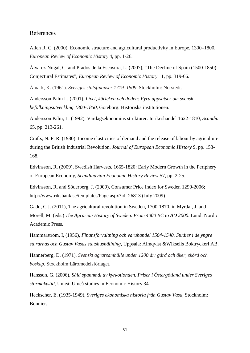#### References

Allen R. C. (2000), Economic structure and agricultural productivity in Europe, 1300–1800*. European Review of Economic History* 4, pp. 1*-*26*.*

Álvarez-Nogal, C. and Prados de la Escosura, L. (2007), "The Decline of Spain (1500-1850): Conjectural Estimates", *European Review of Economic History* 11, pp. 319-66.

Åmark, K. (1961). *Sveriges statsfinanser 1719–1809,* Stockholm: Norstedt.

Andersson Palm L. (2001), *Livet, kärleken och döden: Fyra uppsatser om svensk befolkningsutveckling 1300-1850*, Göteborg: Historiska institutionen.

Andersson Palm, L. (1992), Vardagsekonomins strukturer: Inrikeshandel 1622-1810, *Scandia*  65, pp. 213-261.

Crafts, N. F. R. (1980). Income elasticities of demand and the release of labour by agriculture during the British Industrial Revolution. *Journal of European Economic History* 9, pp. 153- 168.

Edvinsson, R. (2009), Swedish Harvests, 1665-1820: Early Modern Growth in the Periphery of European Economy, *Scandinavian Economic History Review* 57, pp. 2-25.

Edvinsson, R. and Söderberg, J. (2009), Consumer Price Index for Sweden 1290-2006; <http://www.riksbank.se/templates/Page.aspx?id=26813> (July 2009)

Gadd, C.J. (2011), The agricultural revolution in Sweden, 1700-1870, in Myrdal, J. and Morell, M. (eds.) *The Agrarian History of Sweden. From 4000 BC to AD 2000*. Lund: Nordic Academic Press.

Hammarström, I, (1956), *Finansförvaltning och varuhandel 1504-1540. Studier i de yngre sturarnas och Gustav Vasas statshushållning*, Uppsala: Almqvist &Wiksells Boktryckeri AB.

Hannerberg, D. (1971). *Svenskt agrarsamhälle under 1200 år: gård och åker, skörd och boskap*. Stockholm:Läromedelsförlaget.

Hansson, G. (2006), *Såld spannmål av kyrkotionden. Priser i Östergötland under Sveriges stormaktstid*, Umeå: Umeå studies in Economic History 34.

Heckscher, E. (1935-1949), *Sveriges ekonomiska historia från Gustav Vasa,* Stockholm: Bonnier.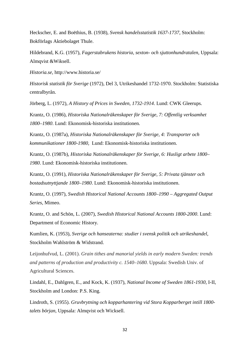Heckscher, E. and Boëthius, B. (1938), *Svensk handelsstatistik 1637-1737*, Stockholm: Bokförlags Aktiebolaget Thule.

Hildebrand, K.G. (1957), *Fagerstabrukens historia, sexton- och sjuttonhundratalen*, Uppsala: Almqvist &Wiksell.

*Historia.se*, http://www.historia.se/

*Historisk statistik för Sverige* (1972), Del 3, Utrikeshandel 1732-1970. Stockholm: Statistiska centralbyrån.

Jörberg, L. (1972), *A History of Prices in Sweden, 1732-1914*. Lund: CWK Gleerups.

Krantz, O. (1986), *Historiska Nationalräkenskaper för Sverige, 7: Offentlig verksamhet 1800–1980*. Lund: Ekonomisk-historiska institutionen.

Krantz, O. (1987a), *Historiska Nationalräkenskaper för Sverige, 4: Transporter och kommunikationer 1800-1980,* Lund: Ekonomisk-historiska institutionen.

Krantz, O. (1987b), *Historiska Nationalräkenskaper för Sverige, 6: Husligt arbete 1800– 1980*. Lund: Ekonomisk-historiska institutionen.

Krantz, O. (1991), *Historiska Nationalräkenskaper för Sverige, 5: Privata tjänster och bostadsutnyttjande 1800–1980*. Lund: Ekonomisk-historiska institutionen.

Krantz, O. (1997), *Swedish Historical National Accounts 1800–1990 – Aggregated Output Series*, Mimeo.

Krantz, O. and Schön, L. (2007), *Swedish Historical National Accounts 1800-2000*. Lund: Department of Economic History.

Kumlien, K. (1953), *Sverige och hanseaterna: studier i svensk politik och utrikeshandel*, Stockholm Wahlström & Widstrand.

Leijonhufvud, L. (2001). *Grain tithes and manorial yields in early modern Sweden: trends and patterns of production and productivity c. 1540–1680.* Uppsala: Swedish Univ. of Agricultural Sciences.

Lindahl, E., Dahlgren, E., and Kock, K. (1937), *National Income of Sweden 1861-1930*, I-II, Stockholm and London: P.S. King.

Lindroth, S. (1955). *Gruvbrytning och kopparhantering vid Stora Kopparberget intill 1800 talets början,* Uppsala: Almqvist och Wicksell.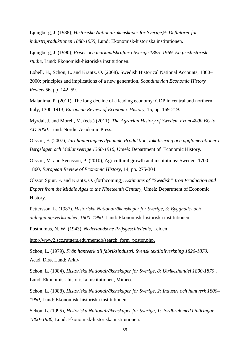Ljungberg, J. (1988), *Historiska Nationalräkenskaper för Sverige,9: Deflatorer för industriproduktionen 1888-1955*, Lund: Ekonomisk-historiska institutionen.

Ljungberg, J. (1990), *Priser och marknadskrafter i Sverige 1885–1969. En prishistorisk studie*, Lund: Ekonomisk-historiska institutionen.

Lobell, H., Schön, L. and Krantz, O. (2008). Swedish Historical National Accounts, 1800– 2000: principles and implications of a new generation, *Scandinavian Economic History Review* 56, pp. 142–59.

Malanima, P. (2011), The long decline of a leading economy: GDP in central and northern Italy, 1300-1913, *European Review of Economic History*, 15, pp. 169-219.

Myrdal, J. and Morell, M. (eds.) (2011), *The Agrarian History of Sweden. From 4000 BC to AD 2000*. Lund: Nordic Academic Press.

Olsson, F. (2007), *Järnhanteringens dynamik. Produktion, lokalisering och agglomerationer i Bergslagen och Mellansverige 1368-1910*, Umeå: Department of Economic History.

Olsson, M. and Svensson, P. (2010), Agricultural growth and institutions: Sweden, 1700- 1860, *European Review of Economic History*, 14, pp. 275-304.

Olsson Spjut, F. and Krantz, O. (forthcoming), *Estimates of "Swedish" Iron Production and Export from the Middle Ages to the Nineteenth Century,* Umeå: Department of Economic History.

Pettersson, L. (1987). *Historiska Nationalräkenskaper för Sverige, 3: Byggnads- och anläggningsverksamhet, 1800–1980.* Lund: Ekonomisk-historiska institutionen.

Posthumus, N. W. (1943), *Nederlandsche Prijsgeschiedenis,* Leiden,

[http://www2.scc.rutgers.edu/memdb/search\\_form\\_postpr.php.](http://www2.scc.rutgers.edu/memdb/search_form_postpr.php)

Schön, L. (1979), *Från hantverk till fabriksindustri. Svensk textiltillverkning 1820-1870*. Acad. Diss. Lund: Arkiv.

Schön, L. (1984), *Historiska Nationalräkenskaper för Sverige, 8: Utrikeshandel 1800-1870 ,* Lund: Ekonomisk-historiska institutionen, Mimeo.

Schön, L. (1988). *Historiska Nationalräkenskaper för Sverige, 2: Industri och hantverk 1800– 1980,* Lund: Ekonomisk-historiska institutionen.

Schön, L. (1995), *Historiska Nationalräkenskaper för Sverige, 1: Jordbruk med binäringar 1800–1980,* Lund: Ekonomisk-historiska institutionen*.*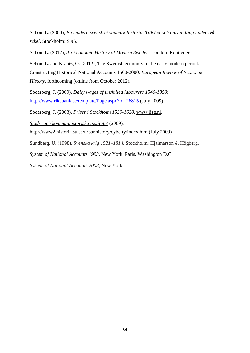Schön, L. (2000), *En modern svensk ekonomisk historia. Tillväxt och omvandling under två sekel*. Stockholm: SNS.

Schön, L. (2012), *An Economic History of Modern Sweden.* London: Routledge.

Schön, L. and Krantz, O. (2012), The Swedish economy in the early modern period. Constructing Historical National Accounts 1560-2000*, European Review of Economic History*, forthcoming (online from October 2012)*.*

Söderberg, J. (2009), *Daily wages of unskilled labourers 1540-1850*; <http://www.riksbank.se/template/Page.aspx?id=26815> (July 2009)

Söderberg, J. (2003), *Priser i Stockholm 1539-1620*, [www.iisg.nl.](http://www.iisg.nl/)

*Stads- [och kommunhistoriska institutet](http://www.historia.su.se/urbanhistory/)* (2009), <http://www2.historia.su.se/urbanhistory/cybcity/index.htm> (July 2009)

Sundberg, U. (1998). *Svenska krig 1521–1814,* Stockholm: Hjalmarson & Högberg.

*System of National Accounts 1993*, New York, Paris, Washington D.C.

*System of National Accounts 2008,* New York.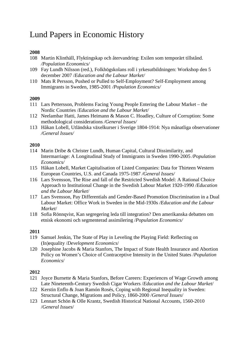## Lund Papers in Economic History

#### **2008**

- 108 Martin Klinthäll, Flyktingskap och återvandring: Exilen som temporärt tillstånd. */Population Economics/*
- 109 Fay Lundh Nilsson (red.), Folkhögskolans roll i yrkesutbildningen: Workshop den 5 december 2007 /*Education and the Labour Market/*
- 110 Mats R Persson, Pushed or Pulled to Self-Employment? Self-Employment among Immigrants in Sweden, 1985-2001 */Population Economics/*

#### **2009**

- 111 Lars Pettersson, Problems Facing Young People Entering the Labour Market the Nordic Countries /*Education and the Labour Market/*
- 112 Neelambar Hatti, James Heimann & Mason C. Hoadley, Culture of Corruption: Some methodological considerations */General Issues/*
- 113 Håkan Lobell, Utländska växelkurser i Sverige 1804-1914: Nya månatliga observationer */General Issues/*

#### **2010**

- 114 Marin Dribe & Christer Lundh, Human Capital, Cultural Dissimilarity, and Intermarriage: A Longitudinal Study of Immigrants in Sweden 1990-2005 */Population Economics/*
- 115 Håkan Lobell, Market Capitalisation of Listed Companies: Data for Thirteen Western European Countries, U.S. and Canada 1975-1987 */General Issues/*
- 116 Lars Svensson, The Rise and fall of the Restricted Swedish Model: A Rational Choice Approach to Institutional Change in the Swedish Labour Market 1920-1990 */Education and the Labour Market*/
- 117 Lars Svensson, Pay Differentials and Gender-Based Promotion Discrimination in a Dual Labour Market: Office Work in Sweden in the Mid-1930s */Education and the Labour Market*/
- 118 Sofia Rönnqvist, Kan segregering leda till integration? Den amerikanska debatten om etnisk ekonomi och segmenterad assimilering /*Population Economics/*

#### **2011**

- 119 Samuel Jenkin, The State of Play in Leveling the Playing Field: Reflecting on (In)equality /*Development Economics*/
- 120 Josephine Jacobs & Maria Stanfors, The Impact of State Health Insurance and Abortion Policy on Women's Choice of Contraceptive Intensity in the United States /*Population Economics*/

- 121 Joyce Burnette & Maria Stanfors, Before Careers: Experiences of Wage Growth among Late Nineteenth-Century Swedish Cigar Workers /*Education and the Labour Market*/
- 122 Kerstin Enflo & Joan Ramón Rosés, Coping with Regional Inequality in Sweden: Structural Change, Migrations and Policy, 1860-2000 /*General Issues*/
- 123 Lennart Schön & Olle Krantz, Swedish Historical National Accounts, 1560-2010 /*General Issues*/